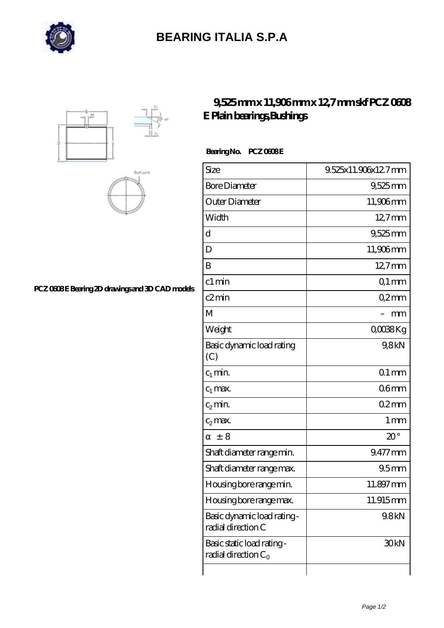

## **[BEARING ITALIA S.P.A](https://m.dianamascarenhas.com)**





### **[PCZ 0608 E Bearing 2D drawings and 3D CAD models](https://m.dianamascarenhas.com/pic-64968963.html)**

### **[9,525 mm x 11,906 mm x 12,7 mm skf PCZ 0608](https://m.dianamascarenhas.com/af-64968963-skf-pcz-0608-e-plain-bearings-bushings.html) [E Plain bearings,Bushings](https://m.dianamascarenhas.com/af-64968963-skf-pcz-0608-e-plain-bearings-bushings.html)**

#### Bearing No. PCZ 0608E

| Size                                                 | 9.525x11.906x12.7mm |
|------------------------------------------------------|---------------------|
| <b>Bore Diameter</b>                                 | $9,525$ mm          |
| Outer Diameter                                       | 11,906mm            |
| Width                                                | $12.7$ mm           |
| d                                                    | 9,525 mm            |
| D                                                    | 11,906mm            |
| B                                                    | $12.7$ mm           |
| c1 min                                               | $Q1$ mm             |
| c2min                                                | Q2mm                |
| M                                                    | mm                  |
| Weight                                               | QOO <sub>3</sub> Kg |
| Basic dynamic load rating<br>(C)                     | 9,8kN               |
| $c_1$ min.                                           | $Q1$ mm             |
| $c_1$ max.                                           | 06 <sub>mm</sub>    |
| $c_2$ min.                                           | 02mm                |
| $c_2$ max.                                           | 1 <sub>mm</sub>     |
| $\pm$ 8                                              | $20^{\circ}$        |
| Shaft diameter range min.                            | 9.477 mm            |
| Shaft diameter range max.                            | 95 <sub>mm</sub>    |
| Housing bore range min.                              | 11.897mm            |
| Housing bore range max.                              | 11.915mm            |
| Basic dynamic load rating-<br>radial direction C     | 9.8kN               |
| Basic static load rating -<br>radial direction $C_0$ | 30 <sub>kN</sub>    |
|                                                      |                     |